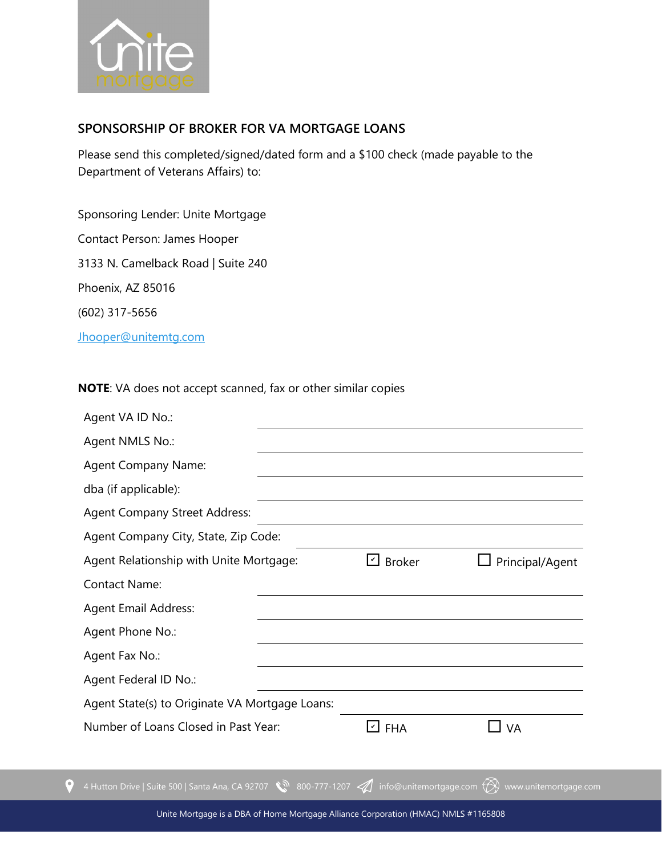

## **SPONSORSHIP OF BROKER FOR VA MORTGAGE LOANS**

Please send this completed/signed/dated form and a \$100 check (made payable to the Department of Veterans Affairs) to:

Sponsoring Lender: Unite Mortgage Contact Person: James Hooper 3133 N. Camelback Road | Suite 240

Phoenix, AZ 85016

(602) 317-5656

 $\bullet$ 

[Jhooper@unitemtg.com](mailto:Jhooper@unitemtg.com)

**NOTE**: VA does not accept scanned, fax or other similar copies

| Agent VA ID No.:                                                                             |               |                       |
|----------------------------------------------------------------------------------------------|---------------|-----------------------|
| Agent NMLS No.:                                                                              |               |                       |
| <b>Agent Company Name:</b>                                                                   |               |                       |
| dba (if applicable):                                                                         |               |                       |
| <b>Agent Company Street Address:</b>                                                         |               |                       |
| Agent Company City, State, Zip Code:                                                         |               |                       |
| Agent Relationship with Unite Mortgage:                                                      | □ Broker      | Principal/Agent       |
| <b>Contact Name:</b>                                                                         |               |                       |
| <b>Agent Email Address:</b>                                                                  |               |                       |
| Agent Phone No.:                                                                             |               |                       |
| Agent Fax No.:                                                                               |               |                       |
| Agent Federal ID No.:                                                                        |               |                       |
| Agent State(s) to Originate VA Mortgage Loans:                                               |               |                       |
| Number of Loans Closed in Past Year:                                                         | $\square$ FHA | <b>VA</b>             |
|                                                                                              |               |                       |
| 4 Hutton Drive   Suite 500   Santa Ana, CA 92707 \\\\\ 800-777-1207 4 info@unitemortgage.com |               | www.unitemortgage.com |